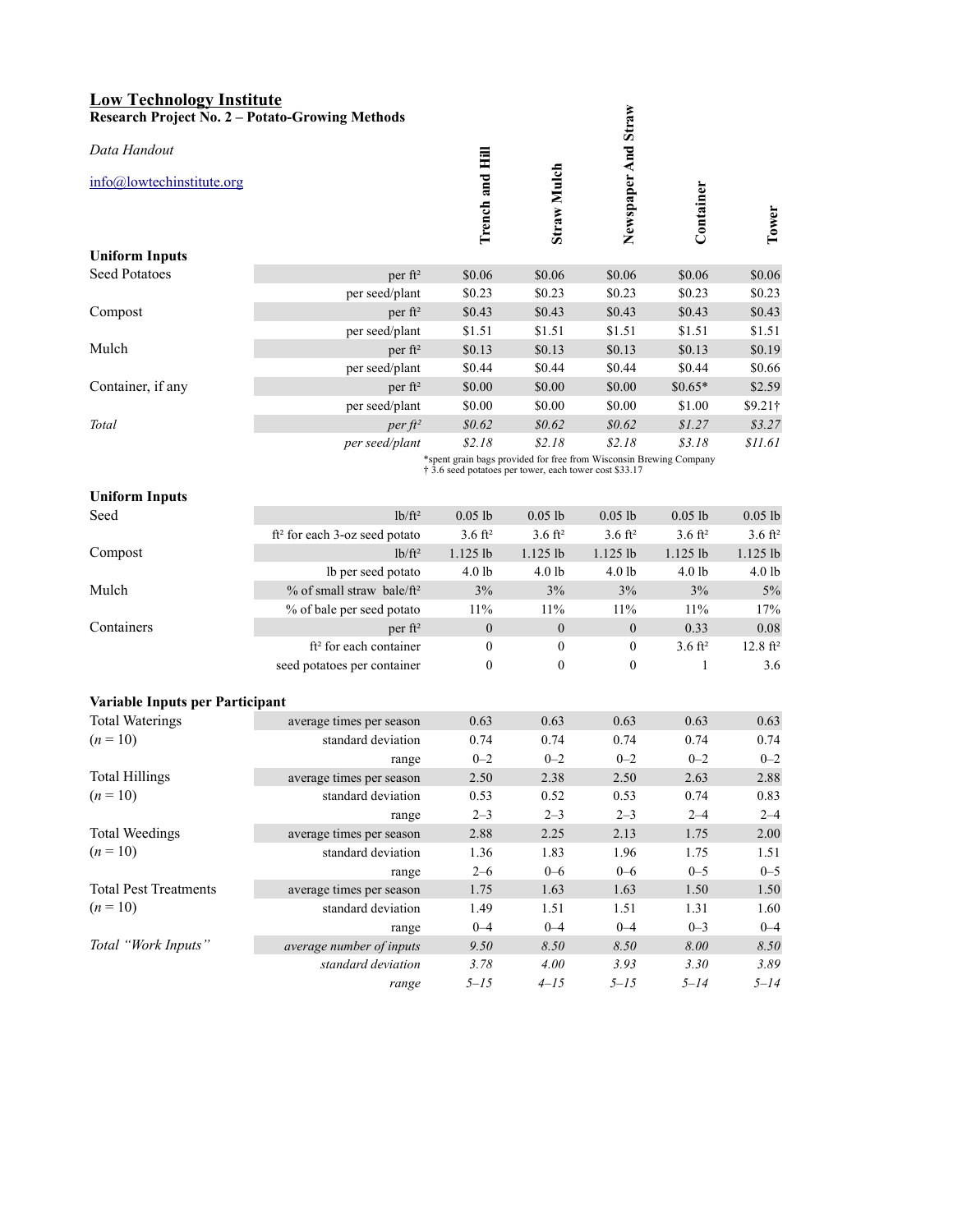| <b>Low Technology Institute</b><br><b>Research Project No. 2 - Potato-Growing Methods</b> |                                                                                                                              |                    |                    |                     |                    |                     |  |  |
|-------------------------------------------------------------------------------------------|------------------------------------------------------------------------------------------------------------------------------|--------------------|--------------------|---------------------|--------------------|---------------------|--|--|
| Data Handout                                                                              |                                                                                                                              |                    |                    |                     |                    |                     |  |  |
| info@lowtechinstitute.org                                                                 |                                                                                                                              | Trench and Hill    | Straw Mulch        | Newspaper And Straw | Container          | Tower               |  |  |
| <b>Uniform Inputs</b>                                                                     |                                                                                                                              |                    |                    |                     |                    |                     |  |  |
| <b>Seed Potatoes</b>                                                                      | per ft <sup>2</sup>                                                                                                          | \$0.06             | \$0.06             | \$0.06              | \$0.06             | \$0.06              |  |  |
|                                                                                           | per seed/plant                                                                                                               | \$0.23             | \$0.23             | \$0.23              | \$0.23             | \$0.23              |  |  |
| Compost                                                                                   | per ft <sup>2</sup>                                                                                                          | \$0.43             | \$0.43             | \$0.43              | \$0.43             | \$0.43              |  |  |
|                                                                                           | per seed/plant                                                                                                               | \$1.51             | \$1.51             | \$1.51              | \$1.51             | \$1.51              |  |  |
| Mulch                                                                                     | per ft <sup>2</sup>                                                                                                          | \$0.13             | \$0.13             | \$0.13              | \$0.13             | \$0.19              |  |  |
|                                                                                           | per seed/plant                                                                                                               | \$0.44             | \$0.44             | \$0.44              | \$0.44             | \$0.66              |  |  |
| Container, if any                                                                         | per ft <sup>2</sup>                                                                                                          | \$0.00             | \$0.00             | \$0.00              | $$0.65*$           | \$2.59              |  |  |
|                                                                                           | per seed/plant                                                                                                               | \$0.00             | \$0.00             | \$0.00              | \$1.00             | $$9.21$ †           |  |  |
| Total                                                                                     | $perft^2$                                                                                                                    | \$0.62             | \$0.62             | \$0.62              | \$1.27             | \$3.27              |  |  |
|                                                                                           | per seed/plant                                                                                                               | \$2.18             | \$2.18             | \$2.18              | \$3.18             | \$11.61             |  |  |
|                                                                                           | *spent grain bags provided for free from Wisconsin Brewing Company<br>† 3.6 seed potatoes per tower, each tower cost \$33.17 |                    |                    |                     |                    |                     |  |  |
| <b>Uniform Inputs</b>                                                                     |                                                                                                                              |                    |                    |                     |                    |                     |  |  |
| Seed                                                                                      | $lb/ft^2$                                                                                                                    | $0.05$ lb          | $0.05$ lb          | $0.05$ lb           | $0.05$ lb          | $0.05$ lb           |  |  |
|                                                                                           | ft <sup>2</sup> for each 3-oz seed potato                                                                                    | $3.6 \text{ ft}^2$ | $3.6 \text{ ft}^2$ | $3.6 \text{ ft}^2$  | $3.6 \text{ ft}^2$ | $3.6 \text{ ft}^2$  |  |  |
| Compost                                                                                   | $1b/ft^2$                                                                                                                    | $1.125$ lb         | $1.125$ lb         | $1.125$ lb          | $1.125$ lb         | 1.125 lb            |  |  |
|                                                                                           | lb per seed potato                                                                                                           | 4.0 <sub>1b</sub>  | 4.0 lb             | 4.0 lb              | 4.0 lb             | 4.0 lb              |  |  |
| Mulch                                                                                     | $%$ of small straw bale/ $ft^2$                                                                                              | 3%                 | 3%                 | 3%                  | 3%                 | $5\%$               |  |  |
|                                                                                           | % of bale per seed potato                                                                                                    | 11%                | 11%                | 11%                 | 11%                | 17%                 |  |  |
| Containers                                                                                | per $ft^2$                                                                                                                   | $\boldsymbol{0}$   | $\boldsymbol{0}$   | $\boldsymbol{0}$    | 0.33               | 0.08                |  |  |
|                                                                                           | ft <sup>2</sup> for each container                                                                                           | $\boldsymbol{0}$   | 0                  | $\boldsymbol{0}$    | $3.6 \text{ ft}^2$ | $12.8 \text{ ft}^2$ |  |  |
|                                                                                           | seed potatoes per container                                                                                                  | $\mathbf{0}$       | 0                  | $\mathbf{0}$        | 1                  | 3.6                 |  |  |
|                                                                                           |                                                                                                                              |                    |                    |                     |                    |                     |  |  |
| Variable Inputs per Participant                                                           |                                                                                                                              |                    |                    |                     |                    |                     |  |  |
| <b>Total Waterings</b>                                                                    | average times per season                                                                                                     | 0.63               | 0.63               | 0.63                | 0.63               | 0.63                |  |  |
| $(n = 10)$                                                                                | standard deviation                                                                                                           | 0.74               | 0.74               | 0.74                | 0.74               | 0.74                |  |  |
|                                                                                           | range                                                                                                                        | $0 - 2$            | $0 - 2$            | $0 - 2$             | $0 - 2$            | $0 - 2$             |  |  |
| <b>Total Hillings</b>                                                                     | average times per season                                                                                                     | 2.50               | 2.38               | 2.50                | 2.63               | 2.88                |  |  |
| $(n = 10)$                                                                                | standard deviation                                                                                                           | 0.53               | 0.52               | 0.53                | 0.74               | 0.83                |  |  |
|                                                                                           | range                                                                                                                        | $2 - 3$            | $2 - 3$            | $2 - 3$             | $2 - 4$            | $2 - 4$             |  |  |
| <b>Total Weedings</b>                                                                     | average times per season                                                                                                     | 2.88               | 2.25               | 2.13                | 1.75               | $2.00\,$            |  |  |
| $(n = 10)$                                                                                | standard deviation                                                                                                           | 1.36               | 1.83               | 1.96                | 1.75               | 1.51                |  |  |
|                                                                                           | range                                                                                                                        | $2 - 6$            | $0 - 6$            | $0 - 6$             | $0 - 5$            | $0 - 5$             |  |  |
| <b>Total Pest Treatments</b>                                                              | average times per season                                                                                                     | 1.75               | 1.63               | 1.63                | 1.50               | 1.50                |  |  |
| $(n = 10)$                                                                                | standard deviation                                                                                                           | 1.49               | 1.51               | 1.51                | 1.31               | 1.60                |  |  |
|                                                                                           | range                                                                                                                        | $0 - 4$            | $0 - 4$            | $0 - 4$             | $0 - 3$            | $0 - 4$             |  |  |
| Total "Work Inputs"                                                                       | average number of inputs                                                                                                     | $9.50\,$           | $8.50\,$           | $8.50\,$            | $8.00\,$           | $8.50\,$            |  |  |
|                                                                                           | standard deviation                                                                                                           | 3.78               | 4.00               | 3.93                | 3.30               | 3.89                |  |  |
|                                                                                           | range                                                                                                                        | $5 - 15$           | $4 - 15$           | $5 - 15$            | $5 - 14$           | $5 - 14$            |  |  |